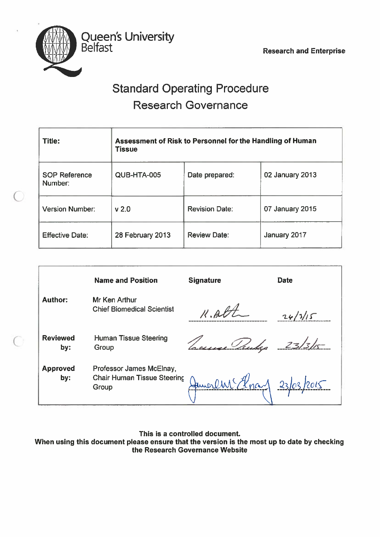Belfast Research and Enterprise



Queen's University

# Standard Operating Procedure Research Governance

| <b>Title:</b>                   | Assessment of Risk to Personnel for the Handling of Human<br><b>Tissue</b> |                       |                 |
|---------------------------------|----------------------------------------------------------------------------|-----------------------|-----------------|
| <b>SOP Reference</b><br>Number: | QUB-HTA-005                                                                | Date prepared:        | 02 January 2013 |
| <b>Version Number:</b>          | v <sub>2.0</sub>                                                           | <b>Revision Date:</b> | 07 January 2015 |
| <b>Effective Date:</b>          | 28 February 2013                                                           | <b>Review Date:</b>   | January 2017    |

|                        | <b>Name and Position</b>                                                | <b>Signature</b>       | <b>Date</b> |
|------------------------|-------------------------------------------------------------------------|------------------------|-------------|
| <b>Author:</b>         | Mr Ken Arthur<br><b>Chief Biomedical Scientist</b>                      | R.A                    | 24/3/15     |
| <b>Reviewed</b><br>by: | <b>Human Tissue Steering</b><br>Group                                   |                        | 23/31       |
| <b>Approved</b><br>by: | Professor James McElnay,<br><b>Chair Human Tissue Steering</b><br>Group | James Clnay 23/03/2015 |             |

This is <sup>a</sup> controlled document When using this document please ensure that the version is the most up to date by checking the Research Governance Website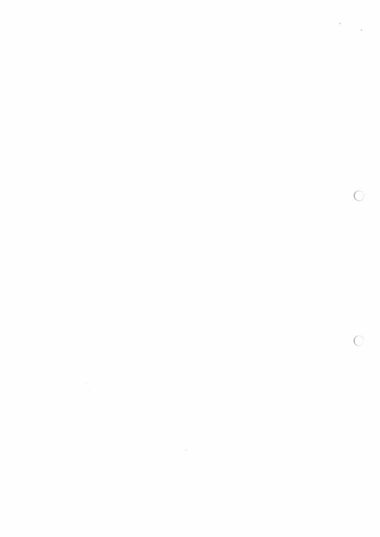$\lambda$ 

Ō

Ō

 $\sim 100$  km s  $^{-1}$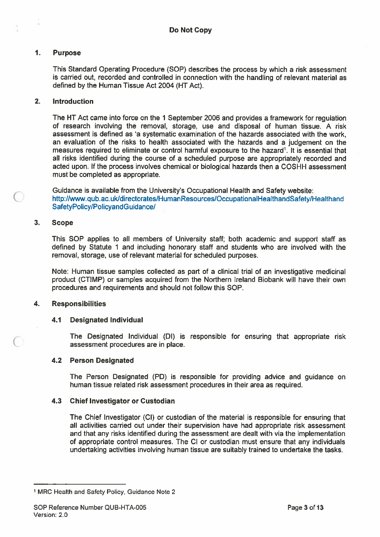#### $\mathbf{1}$ . Purpose

Ş

This Standard Operating Procedure (SOP) describes the process by which <sup>a</sup> risk assessment is carried out, recorded and controlled in connection with the handling of relevant material as defined by the Human Tissue Act 2004 (HT Act).

#### 2. Introduction

The HT Act came into force on the 1 September 2006 and provides <sup>a</sup> framework for regulation of research involving the removal, storage, use and disposal of human tissue. A risk assessment is defined as 'a systematic examination of the hazards associated with the work, an evaluation of the risks to health associated with the hazards and <sup>a</sup> judgement on the measures required to eliminate or control harmful exposure to the hazard<sup>1</sup>. It is essential that all risks identified during the course of <sup>a</sup> scheduled purpose are appropriately recorded and acted upon. If the process involves chemical or biological hazards then <sup>a</sup> COSHH assessment must be completed as appropriate.

Guidance is available from the University's Occupational Health and Safety website: http://www.qub.ac.uk/directorates/HumanResources/OccupationalHealthandSafety/Healthand SafetyPolicy/PolicyandGuidance/

#### 3. Scope

0

This SOP applies to all members of University staff; both academic and suppor<sup>t</sup> staff as defined by Statute 1 and including honorary staff and students who are involved with the removal, storage, use of relevant material for scheduled purposes.

Note: Human tissue samples collected as par<sup>t</sup> of <sup>a</sup> clinical trial of an investigative medicinal product (CTIMP) or samples acquired from the Northern Ireland Biobank will have their own procedures and requirements and should not follow this SOP.

#### 4. Responsibilities

#### 4.1 Designated Individual

The Designated Individual (Dl) is responsible for ensuring that appropriate risk assessment procedures are in place.

#### 4.2 Person Designated

The Person Designated (PD) is responsible for providing advice and guidance on human tissue related risk assessment procedures in their area as required.

#### 4.3 Chief Investigator or Custodian

The Chief Investigator (CI) or custodian of the material is responsible for ensuring that all activities carried out under their supervision have had appropriate risk assessment and that any risks identified during the assessment are dealt with via the implementation of appropriate control measures. The CI or custodian must ensure that any individuals undertaking activities involving human tissue are suitably trained to undertake the tasks.

<sup>&</sup>lt;sup>1</sup> MRC Health and Safety Policy, Guidance Note 2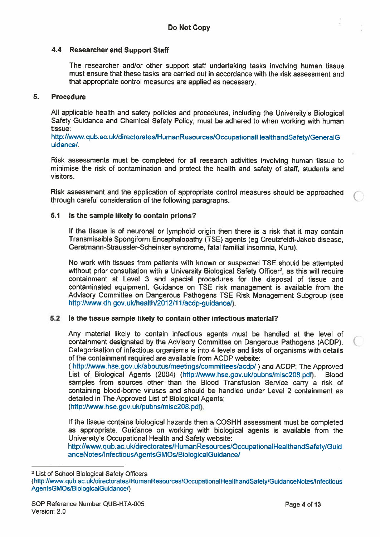### 4.4 Researcher and Support Staff

The researcher and/or other suppor<sup>t</sup> staff undertaking tasks involving human tissue must ensure that these tasks are carried out in accordance with the risk assessment and that appropriate control measures are applied as necessary.

#### 5. Procedure

All applicable health and safety policies and procedures, including the University's Biological Safety Guidance and Chemical Safety Policy, must be adhered to when working with human tissue:

http://www.qub.ac.uk/directorates/HumanResources/OccupationalHealthandSafety/GeneralG uidance/.

Risk assessments must be completed for all research activities involving human tissue to minimise the risk of contamination and protect the health and safety of staff, students and visitors.

Risk assessment and the application of appropriate control measures should be approached through careful consideration of the following paragraphs.

#### 5.1 is the sample likely to contain prions?

If the tissue is of neuronal or lymphoid origin then there is <sup>a</sup> risk that it may contain Transmissible Spongiform Encephalopathy (TSE) agents (eg Creutzfeldt-Jakob disease, Gerstmann-Straussler-Scheinker syndrome, fatal familial insomnia, Kuru).

No work with tissues from patients with known or suspected TSE should be attempted without prior consultation with a University Biological Safety Officer<sup>2</sup>, as this will require containment at Level 3 and special procedures for the disposal of tissue and contaminated equipment. Guidance on TSE risk managemen<sup>t</sup> is available from the Advisory Committee on Dangerous Pathogens TSE Risk Management Subgroup (see http://www.dh.gov.uk/health/2012/11/acdp-guidance/).

#### 5.2 Is the tissue sample likely to contain other infectious material?

Any material likely to contain infectious agents must be handled at the level of containment designated by the Advisory Committee on Dangerous Pathogens (ACDP). ( Categorisation of infectious organisms is into <sup>4</sup> levels and lists of organisms with details of the containment required are available from ACDP website:

(http://www.hse.gov.uk/aboutus/meetings/committees/acdp/) and ACDP: The Approved List of Biological Agents (2004) (http://www.hse.gov.uk/pubns/misc208.pdf). Blood samples from sources other than the Blood Transfusion Service carry <sup>a</sup> risk of containing blood-borne viruses and should be handled under Level 2 containment as detailed in The Approved List of Biological Agents: (http://www.hse.gov.uk/pubns/misc208.pdf).

If the tissue contains biological hazards then <sup>a</sup> COSHH assessment must be completed as appropriate. Guidance on working with biological agents is available from the University's Occupational Health and Safety website:

http://www.qub.ac.uk/directorates/HumanResources/OccupationalHealthandSafety/Guid anceNotes/InfectiousAgentsGMOs/BiologicalGuidancef

<sup>&</sup>lt;sup>2</sup> List of School Biological Safety Officers<br>(http://www.qub.ac.uk/directorates/HumanResources/OccupationalHealthandSafety/GuidanceNotes/Infectious AgentsGMOs/BiologicalGuidance/)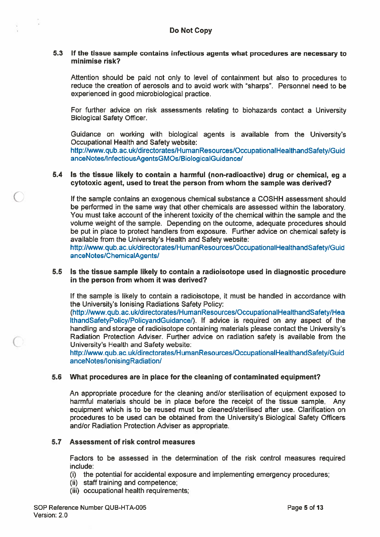#### 5.3 If the tissue sample contains infectious agents what procedures are necessary to minimise risk?

Attention should be paid not only to level of containment but also to procedures to reduce the creation of aerosols and to avoid work with "sharps". Personnel need to be experienced in good microbiological practice.

For further advice on risk assessments relating to biohazards contact <sup>a</sup> University Biological Safety Officer.

Guidance on working with biological agents is available from the University's Occupational Health and Safety website:

http://www.qub.ac.uk/directorates/HumanResources/OccupationalHealthandSafety/Guid anceNotes/InfectiousAgentsGMOs/BiologicalGuidance/

#### 5.4 Is the tissue likely to contain <sup>a</sup> harmful (non-radioactive) drug or chemical, eg a cytotoxic agent, used to treat the person from whom the sample was derived?

If the sample contains an exogenous chemical substance <sup>a</sup> COSHH assessment should be performed in the same way that other chemicals are assessed within the laboratory. You must take account of the inherent toxicity of the chemical within the sample and the volume weight of the sample. Depending on the outcome, adequate procedures should be pu<sup>t</sup> in place to protect handlers from exposure. Further advice on chemical safety is available from the University's Health and Safety website:

http://www.qub.ac.uk/directorates/HumanResources/OccupationalHealthandSafety/Guid anceNotes/ChemicalAgents/

#### 5.5 Is the tissue sample likely to contain <sup>a</sup> radioisotope used in diagnostic procedure in the person from whom it was derived?

If the sample is likely to contain <sup>a</sup> radioisotope, it must be handled in accordance with the University's lonising Radiations Safety Policy:

(http://www.qub.ac.ukidirectorates/HumanResources/OccupationalHealthandsafety/Hea lthandSafetyPolicy/PolicyandGuidance/). If advice is required on any aspec<sup>t</sup> of the handling and storage of radioisotope containing materials please contact the University's Radiation Protection Adviser. Further advice on radiation safety is available from the University's Health and Safety website:

http://www.qub.ac.uk/directorates/HumanResources/OccupationalHealthandSafety/Guid anceNotes/lonisingRadiation/

#### 5.6 What procedures are in place for the cleaning of contaminated equipment?

An appropriate procedure for the cleaning and/or sterilisation of equipment exposed to harmful materials should be in place before the receipt of the tissue sample. Any equipment which is to be reused must be cleaned/sterilised after use. Clarification on procedures to be used can be obtained from the University's Biological Safety Officers and/or Radiation Protection Adviser as appropriate.

#### 5.7 Assessment of risk control measures

Factors to be assessed in the determination of the risk control measures required include:

(i) the potential for accidental exposure and implementing emergency procedures;

- $(ii)$  staff training and competence;
- (iii) occupational health requirements;

Ç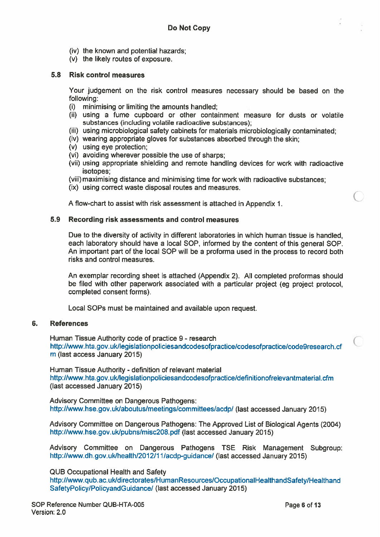- (iv) the known and potential hazards;
- (v) the likely routes of exposure.

#### 5.8 Risk control measures

Your judgement on the risk control measures necessary should be based on the following:

- (i) minimising or limiting the amounts handled;
- (ü) using <sup>a</sup> fume cupboard or other containment measure for dusts or volatile substances (including volatile radioactive substances);
- (iii) using microbiological safety cabinets for materials microbiologically contaminated;
- (iv) wearing appropriate <sup>g</sup>loves for substances absorbed through the skin;
- (v) using eye protection;
- (vi) avoiding wherever possible the use of sharps;
- (vu) using appropriate shielding and remote handling devices for work with radioactive isotopes;
- (viü) maximising distance and minimising time for work with radioactive substances;
- (ix) using correct waste disposal routes and measures.

A flow-chart to assist with risk assessment is attached in Appendix 1.

#### 5.9 Recording risk assessments and control measures

Due to the diversity of activity in different laboratories in which human tissue is handled, each laboratory should have <sup>a</sup> local SOP, informed by the content of this general SOP. An important par<sup>t</sup> of the local SOP will be <sup>a</sup> proforma used in the process to record both risks and control measures.

An exemplar recording sheet is attached (Appendix 2). All completed proformas should be filed with other paperwor<sup>k</sup> associated with <sup>a</sup> particular project (eg project protocol, completed consent forms).

Local SOPs must be maintained and available upon request.

#### 6. References

Human Tissue Authority code of practice 9 - research http://www.hta.gov.uk/legislationpoliciesandcodesofpractice/codesofpractice/code9research.cf <sup>m</sup> (last access January 2015)

Human Tissue Authority - definition of relevant material http://www.hta.gov.uk/legislationpoliciesandcodesofpractice/definitionofrelevantmaterial.cfm (last accessed January 2015)

Advisory Committee on Dangerous Pathogens: http://www.hse.gov.uk/aboutus/meetings/committees/acdp/ (last accessed January 2015)

Advisory Committee on Dangerous Pathogens: The Approved List of Biological Agents (2004) http://www.hse.gov.uklpubns/misc2o8.pdf (last accessed January 2015)

Advisory Committee on Dangerous Pathogens TSE Risk Management Subgroup: http://www.dh.gov.uk/health/201 2/1 1/acdp-guidance/ (last accessed January 2015)

QUB Occupational Health and Safety

http://www.qub.ac.ukldirectorates/HumanResources/OccupationalHealthandSafety/Healthand SafetyPolicy/PolicyandGuidance/ (last accessed January 2015)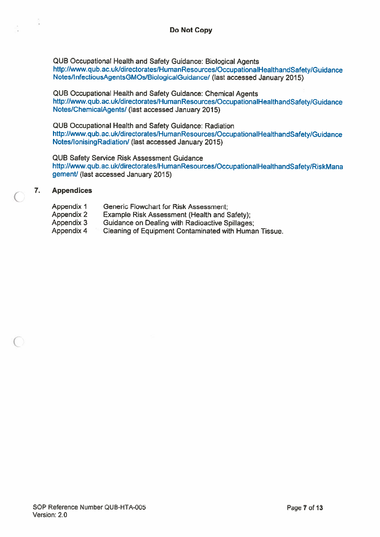QUB Occupational Health and Safety Guidance: Biological Agents http://www.qub.ac.ukldirectorates/HumanResources/OccupationalHealthandSafety/Guidance Notes/lnfectiousAgentsGMOs/BiologicalGuidance/ (last accessed January 2015)

QUB Occupational Health and Safety Guidance: Chemical Agents http://www.qub.ac.uk/directorates/HumanResources/OccupationalHealthandSafety/Guidance Notes/ChemicalAgents/ (last accessed January 2015)

QUB Occupational Health and Safety Guidance: Radiation http://www.qub.ac.uk/directorates/HumanResources/OccupationalHealthandSafety/Guidance Notes/IonisingRadiation/ (last accessed January 2015)

QUB Safety Service Risk Assessment Guidance http://www.qub.ac.uk/directorates/HumanResources/OccupationalHealthandSafety/RiskMana gement/ (last accessed January 2015)

#### 7. Appendices

c--I

C

- Appendix 1 Generic Flowchart for Risk Assessment;
- Appendix <sup>2</sup> Example Risk Assessment (Health and Safety);
- Appendix 3 Guidance on Dealing with Radioactive Spillages;
- Appendix 4 Cleaning of Equipment Contaminated with Human Tissue.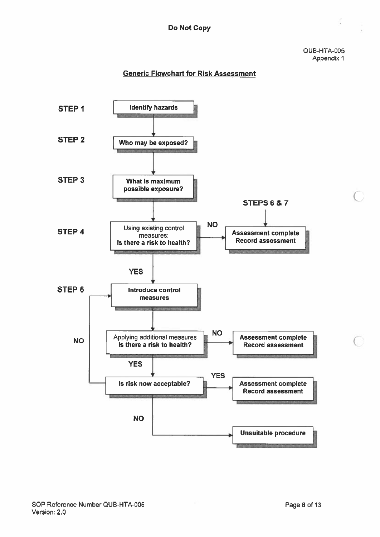Do Not Copy

QUB-HTA-005 Appendix 1

 $\subset$ 

C

## Generic Flowchart for Risk Assessment

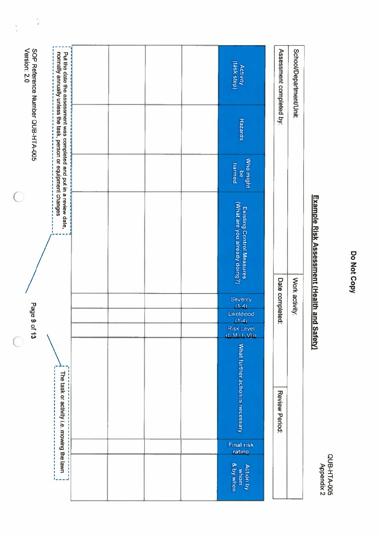| SOP Reference Number QUB-HTA-005<br>Version: 2.0 | normally annually unless the task, person or equipment changes<br>Put the date the assessment was completed and put in a review date, |  |  | Activity<br>(task step)                                               | Assessment completed by: | School/Department/Unit: |
|--------------------------------------------------|---------------------------------------------------------------------------------------------------------------------------------------|--|--|-----------------------------------------------------------------------|--------------------------|-------------------------|
|                                                  |                                                                                                                                       |  |  | Hazards                                                               |                          |                         |
|                                                  |                                                                                                                                       |  |  | Who might<br>harmed<br>ag                                             |                          |                         |
|                                                  |                                                                                                                                       |  |  | Existing Control Measures<br>(What are you already doing?)            |                          |                         |
|                                                  |                                                                                                                                       |  |  |                                                                       | Date completed:          | Work activity:          |
|                                                  |                                                                                                                                       |  |  | Severity<br>(1-4)<br>Likelihood<br>(1-4)<br>Risk Level<br>(L.M.H. VH) |                          |                         |
| Page 9 of 13                                     |                                                                                                                                       |  |  |                                                                       |                          |                         |
|                                                  |                                                                                                                                       |  |  |                                                                       |                          |                         |
|                                                  | $\frac{1}{2}$                                                                                                                         |  |  |                                                                       |                          |                         |
|                                                  | The task or activity i.e. mowing the lawn<br><b></b>                                                                                  |  |  | What further action is necessary                                      | Review Period:           |                         |
|                                                  |                                                                                                                                       |  |  | <b>Final risk</b>                                                     |                          |                         |
|                                                  | ,,,,,,,,,,                                                                                                                            |  |  | rating                                                                |                          |                         |
|                                                  |                                                                                                                                       |  |  | whom<br>& by when<br><b>Action by</b>                                 |                          |                         |
|                                                  |                                                                                                                                       |  |  |                                                                       |                          |                         |

QUB-HTA-005 Appendix 2

Example Risk Assessment (Health and **Safety** 

 $\frac{1}{\epsilon}$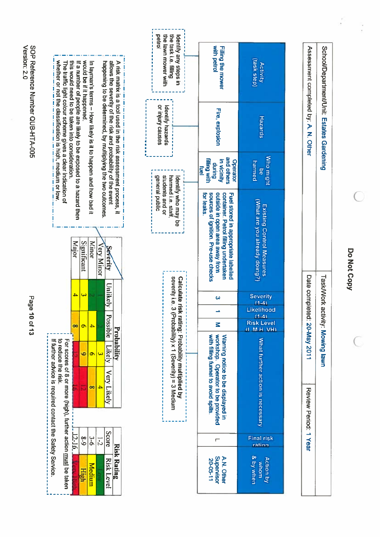Do Not Copy

t.<br>B

î,

| Assessment completed by: A. N. Other | School/Department/Unit: Estates Gardening |
|--------------------------------------|-------------------------------------------|
| Date completed: 20<br>May 201        | Task/Work activity:<br><b>MBI DNI</b>     |
| Review Period: 1 Year                |                                           |

| with petrol<br><b>Filling the mower</b>                                                                                                                           | (task step)<br>Activity                                   |  |
|-------------------------------------------------------------------------------------------------------------------------------------------------------------------|-----------------------------------------------------------|--|
| Fire, explosion                                                                                                                                                   | Hazards                                                   |  |
| and others<br>filing with<br>Operator<br>in vicinity<br><b>Guunp</b><br>tuel                                                                                      | Who might<br>harmed<br><b>be</b>                          |  |
| sources of ignition. Pre-use checks<br>Fuel stored in appropriate labelled<br>for leaks<br>outside in open area away from<br>container. Petrol filling undertaken | (¿buop Apeau elesse) doing?)<br>Existing Control Measures |  |
| ω                                                                                                                                                                 | Severity<br>$\overline{11}$<br>$\overline{A}$             |  |
|                                                                                                                                                                   | <b>ikelihood</b><br>$(1-4)$                               |  |
| S                                                                                                                                                                 | <b>Risk Level</b><br>M H<br>VH)<br>Ä                      |  |
| with filing funnel to avoid spills.<br>workshop. Operator to be provided<br>Warning notice to be displayed in                                                     | What further action is necessary                          |  |
|                                                                                                                                                                   | <b>Final risk</b><br>ratinn                               |  |
| Supervisor<br>A.N. Other<br>20-05-11                                                                                                                              | & by when<br><b>Action by</b><br>whom                     |  |
|                                                                                                                                                                   |                                                           |  |

•

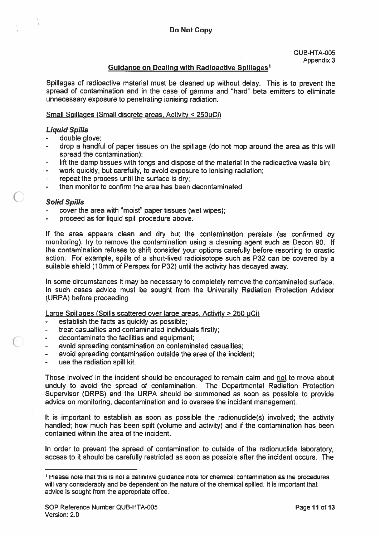QUB-HTA-005 Appendix 3

#### Guidance on Dealing with Radioactive Spillages<sup>1</sup>

Spillages of radioactive material must be cleaned up without delay. This is to preven<sup>t</sup> the spread of contamination and in the case of gamma and "hard" beta emitters to eliminate unnecessary exposure to penetrating ionising radiation.

#### Small Spillages (Small discrete areas, Activity < 250uCi)

#### Liquid Spills

Ş.

- double glove;
- drop <sup>a</sup> handful of paper tissues on the spillage (do not mop around the area as this will spread the contamination);
- lift the damp tissues with tongs and dispose of the material in the radioactive waste bin;
- work quickly, but carefully, to avoid exposure to ionising radiation;
- repea<sup>t</sup> the process until the surface is dry;
- then monitor to confirm the area has been decontaminated.

#### Solid Spills

- cover the area with 'moist" paper tissues (wet wipes);
- proceed as for liquid spill procedure above.

If the area appears clean and dry but the contamination persists (as confirmed by monitoring), try to remove the contamination using <sup>a</sup> cleaning agen<sup>t</sup> such as Decon 90. If the contamination refuses to shift consider your options carefully before resorting to drastic action. For example, spills of <sup>a</sup> short-lived radioisotope such as P32 can be covered by <sup>a</sup> suitable shield (10mm of Perspex for P32) until the activity has decayed away.

In some circumstances it may be necessary to completely remove the contaminated surface. In such cases advice must be sought from the University Radiation Protection Advisor (URPA) before proceeding.

Large Spillages (Spills scattered over large areas, Activity  $> 250 \mu$ Ci)

- establish the facts as quickly as possible;
- treat casualties and contaminated individuals firstly;
- decontaminate the facilities and equipment;
- avoid spreading contamination on contaminated casualties;
- avoid spreading contamination outside the area of the incident;
- use the radiation spill kit.

Those involved in the incident should be encouraged to remain calm and not to move about unduly to avoid the spread of contamination. The Departmental Radiation Protection Supervisor (DRPS) and the URPA should be summoned as soon as possible to provide advice on monitoring, decontamination and to oversee the incident management.

It is important to establish as soon as possible the radionuclide(s) involved; the activity handled; how much has been spilt (volume and activity) and if the contamination has been contained within the area of the incident.

In order to preven<sup>t</sup> the spread of contamination to outside of the radionuclide laboratory, access to it should be carefully restricted as soon as possible after the incident occurs. The

<sup>1</sup> Please note that this is not <sup>a</sup> definitive guidance note for chemical contamination as the procedures will vary considerably and be dependent on the nature of the chemical spilled. It is important that advice is sought from the appropriate office.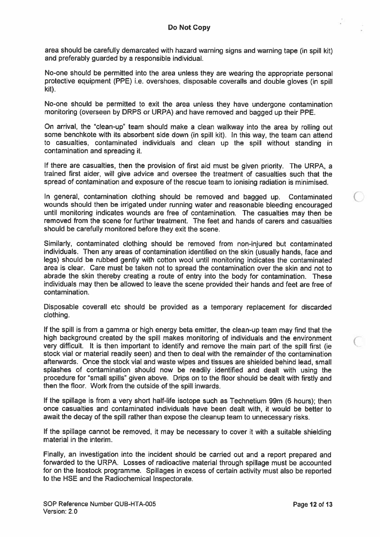area should be carefully demarcated with hazard warning signs and warning tape (in spill kit) and preferably guarded by <sup>a</sup> responsible individual.

No-one should be permitted into the area unless they are wearing the appropriate persona<sup>l</sup> protective equipment (PPE) i.e. overshoes, disposable coveralls and double <sup>g</sup>loves (in spill kit).

No-one should be permitted to exit the area unless they have undergone contamination monitoring (overseen by DRPS or URPA) and have removed and bagged up their PPE.

On arrival, the "clean-up" team should make <sup>a</sup> clean walkway into the area by rolling out some benchkote with its absorbent side down (in spill kit). In this way, the team can attend to casualties, contaminated individuals and clean up the spill without standing in contamination and spreading it.

If there are casualties, then the provision of first aid must be <sup>g</sup>iven priority. The URPA, <sup>a</sup> trained first aider, will give advice and oversee the treatment of casualties such that the spread of contamination and exposure of the rescue team to ionising radiation is minimised.

In general, contamination clothing should be removed and bagged up. Contaminated wounds should then be irrigated under running water and reasonable bleeding encouraged until monitoring indicates wounds are free of contamination. The casualties may then be removed from the scene for further treatment. The feet and hands of carers and casualties should be carefully monitored before they exit the scene.

Similarly, contaminated clothing should be removed from non-injured but contaminated individuals. Then any areas of contamination identified on the skin (usually hands, face and legs) should be rubbed gently with cotton wool until monitoring indicates the contaminated area is clear. Care must be taken not to spread the contamination over the skin and not to abrade the skin thereby creating <sup>a</sup> route of entry into the body for contamination. These individuals may then be allowed to leave the scene provided their hands and feet are free of contamination.

Disposable coverall etc should be provided as <sup>a</sup> temporary replacement for discarded clothing.

If the spill is from <sup>a</sup> gamma or high energy beta emitter, the clean-up team may find that the high background created by the spill makes monitoring of individuals and the environment very difficult. It is then important to identify and remove the main par<sup>t</sup> of the spill first (ie stock vial or material readily seen) and then to deal with the remainder of the contamination afterwards. Once the stock vial and waste wipes and tissues are shielded behind lead, small splashes of contamination should now be readily identified and dealt with using the procedure for "small spills" <sup>g</sup>iven above. Drips on to the floor should be dealt with firstly and then the floor. Work from the outside of the spill inwards.

If the spillage is from <sup>a</sup> very short half-life isotope such as Technetium 99m (6 hours); then once casualties and contaminated individuals have been dealt with, it would be better to await the decay of the spill rather than expose the cleanup team to unnecessary risks.

If the spillage cannot be removed, it may be necessary to cover it with <sup>a</sup> suitable shielding material in the interim.

Finally, an investigation into the incident should be carried out and <sup>a</sup> repor<sup>t</sup> prepare<sup>d</sup> and forwarded to the URPA. Losses of radioactive material through spillage must be accounted for on the Isostock programme. Spillages in excess of certain activity must also be reported to the HSE and the Radiochemical Inspectorate.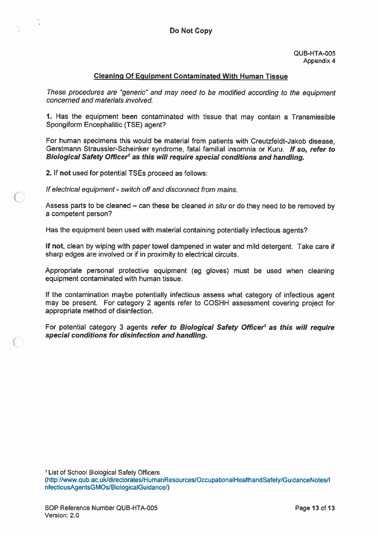#### Cleaning Of Equipment Contaminated With Human Tissue

These procedures are "generic" and may need to be modified according to the equipment concerned and materials involved.

1. Has the equipment been contaminated with tissue that may contain <sup>a</sup> Transmissible Spongiform Encephalitic (TSE) agent?

For human specimens this would be material from patients with Creutzfeldt-Jakob disease, Gerstmann Straussler-Scheinker syndrome, fatal familial insomnia or Kuru. If so, refer to Biological Safety Officer<sup>1</sup> as this will require special conditions and handling.

2. If not used for potential TSEs proceed as follows:

If electrical equipment - switch off and disconnect from mains.

Assess parts to be cleaned  $-$  can these be cleaned in situ or do they need to be removed by <sup>a</sup> competent person?

Has the equipment been used with material containing potentially infectious agents?

If not, clean by wiping with paper towel dampened in water and mild detergent. Take care if sharp edges are involved or if in proximity to electrical circuits.

Appropriate personal protective equipment (eg gloves) must be used when cleaning equipment contaminated with human tissue.

If the contamination maybe potentially infectious assess what category of infectious agen<sup>t</sup> may be present. For category 2 agents refer to COSHH assessment covering project for appropriate method of disinfection.

For potential category 3 agents refer to Biological Safety Officer<sup>1</sup> as this will require special conditions for disinfection and handling.

<sup>1</sup> List of School Biological Safety Officers

(http://www.qub.ac. ukldirectorateslHumanResources/OccupationalHealthandSafety/GuidanceNotes/I nfectiousAgentsGMOs/BiologicalGuidance/)